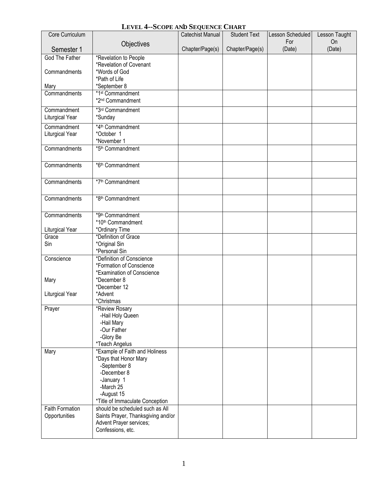## **LEVEL 4--SCOPE AND SEQUENCE CHART**

| Core Curriculum       | $\frac{1}{2}$ $\frac{1}{2}$ $\frac{1}{2}$ $\frac{1}{2}$ $\frac{1}{2}$ $\frac{1}{2}$ $\frac{1}{2}$ $\frac{1}{2}$ $\frac{1}{2}$ $\frac{1}{2}$ $\frac{1}{2}$ $\frac{1}{2}$ | <b>Catechist Manual</b> | <b>Student Text</b> | Lesson Scheduled | Lesson Taught |
|-----------------------|-------------------------------------------------------------------------------------------------------------------------------------------------------------------------|-------------------------|---------------------|------------------|---------------|
|                       | Objectives                                                                                                                                                              |                         |                     | For              | On            |
| Semester 1            |                                                                                                                                                                         | Chapter/Page(s)         | Chapter/Page(s)     | (Date)           | (Date)        |
| <b>God The Father</b> | *Revelation to People                                                                                                                                                   |                         |                     |                  |               |
|                       | *Revelation of Covenant                                                                                                                                                 |                         |                     |                  |               |
| Commandments          | *Words of God                                                                                                                                                           |                         |                     |                  |               |
|                       | *Path of Life                                                                                                                                                           |                         |                     |                  |               |
| Mary                  | *September 8                                                                                                                                                            |                         |                     |                  |               |
| Commandments          | *1st Commandment                                                                                                                                                        |                         |                     |                  |               |
|                       | *2 <sup>nd</sup> Commandment                                                                                                                                            |                         |                     |                  |               |
| Commandment           | *3rd Commandment                                                                                                                                                        |                         |                     |                  |               |
| Liturgical Year       | *Sunday                                                                                                                                                                 |                         |                     |                  |               |
| Commandment           | *4 <sup>th</sup> Commandment                                                                                                                                            |                         |                     |                  |               |
| Liturgical Year       | *October 1                                                                                                                                                              |                         |                     |                  |               |
|                       | *November 1                                                                                                                                                             |                         |                     |                  |               |
| Commandments          | *5 <sup>th</sup> Commandment                                                                                                                                            |                         |                     |                  |               |
|                       |                                                                                                                                                                         |                         |                     |                  |               |
| Commandments          | *6th Commandment                                                                                                                                                        |                         |                     |                  |               |
|                       |                                                                                                                                                                         |                         |                     |                  |               |
|                       |                                                                                                                                                                         |                         |                     |                  |               |
| Commandments          | *7 <sup>th</sup> Commandment                                                                                                                                            |                         |                     |                  |               |
|                       |                                                                                                                                                                         |                         |                     |                  |               |
| Commandments          | *8th Commandment                                                                                                                                                        |                         |                     |                  |               |
|                       |                                                                                                                                                                         |                         |                     |                  |               |
| Commandments          | *9th Commandment                                                                                                                                                        |                         |                     |                  |               |
|                       | *10th Commandment                                                                                                                                                       |                         |                     |                  |               |
| Liturgical Year       | *Ordinary Time                                                                                                                                                          |                         |                     |                  |               |
| Grace                 | *Definition of Grace                                                                                                                                                    |                         |                     |                  |               |
| Sin                   | *Original Sin                                                                                                                                                           |                         |                     |                  |               |
|                       | *Personal Sin                                                                                                                                                           |                         |                     |                  |               |
| Conscience            | *Definition of Conscience                                                                                                                                               |                         |                     |                  |               |
|                       | *Formation of Conscience                                                                                                                                                |                         |                     |                  |               |
|                       | *Examination of Conscience                                                                                                                                              |                         |                     |                  |               |
| Mary                  | *December 8                                                                                                                                                             |                         |                     |                  |               |
|                       | *December 12                                                                                                                                                            |                         |                     |                  |               |
| Liturgical Year       | *Advent                                                                                                                                                                 |                         |                     |                  |               |
|                       | *Christmas                                                                                                                                                              |                         |                     |                  |               |
| Prayer                | *Review Rosary                                                                                                                                                          |                         |                     |                  |               |
|                       | -Hail Holy Queen                                                                                                                                                        |                         |                     |                  |               |
|                       | -Hail Mary<br>-Our Father                                                                                                                                               |                         |                     |                  |               |
|                       | -Glory Be                                                                                                                                                               |                         |                     |                  |               |
|                       | *Teach Angelus                                                                                                                                                          |                         |                     |                  |               |
| Mary                  | *Example of Faith and Holiness                                                                                                                                          |                         |                     |                  |               |
|                       | *Days that Honor Mary                                                                                                                                                   |                         |                     |                  |               |
|                       | -September 8                                                                                                                                                            |                         |                     |                  |               |
|                       | -December 8                                                                                                                                                             |                         |                     |                  |               |
|                       | -January 1                                                                                                                                                              |                         |                     |                  |               |
|                       | -March 25                                                                                                                                                               |                         |                     |                  |               |
|                       | -August 15                                                                                                                                                              |                         |                     |                  |               |
|                       | *Title of Immaculate Conception                                                                                                                                         |                         |                     |                  |               |
| Faith Formation       | should be scheduled such as All                                                                                                                                         |                         |                     |                  |               |
| Opportunities         | Saints Prayer, Thanksgiving and/or                                                                                                                                      |                         |                     |                  |               |
|                       | Advent Prayer services;                                                                                                                                                 |                         |                     |                  |               |
|                       | Confessions, etc.                                                                                                                                                       |                         |                     |                  |               |
|                       |                                                                                                                                                                         |                         |                     |                  |               |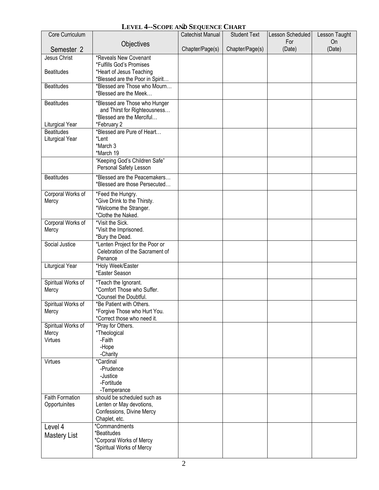## LEVEL 4--SCOPE AND SEQUENCE CHART

| Core Curriculum            |                                                                 | <b>Catechist Manual</b> | <b>Student Text</b> | Lesson Scheduled | Lesson Taught |
|----------------------------|-----------------------------------------------------------------|-------------------------|---------------------|------------------|---------------|
|                            | Objectives                                                      |                         |                     | For              | On            |
| Semester 2                 |                                                                 | Chapter/Page(s)         | Chapter/Page(s)     | (Date)           | (Date)        |
| Jesus Christ               | *Reveals New Covenant                                           |                         |                     |                  |               |
|                            | *Fulfills God's Promises                                        |                         |                     |                  |               |
| <b>Beatitudes</b>          | *Heart of Jesus Teaching                                        |                         |                     |                  |               |
| <b>Beatitudes</b>          | *Blessed are the Poor in Spirit<br>*Blessed are Those who Mourn |                         |                     |                  |               |
|                            | *Blessed are the Meek                                           |                         |                     |                  |               |
| <b>Beatitudes</b>          | *Blessed are Those who Hunger                                   |                         |                     |                  |               |
|                            | and Thirst for Righteousness                                    |                         |                     |                  |               |
|                            | *Blessed are the Merciful                                       |                         |                     |                  |               |
| Liturgical Year            | *February 2                                                     |                         |                     |                  |               |
| <b>Beatitudes</b>          | *Blessed are Pure of Heart                                      |                         |                     |                  |               |
| Liturgical Year            | *Lent                                                           |                         |                     |                  |               |
|                            | *March 3<br>*March 19                                           |                         |                     |                  |               |
|                            | "Keeping God's Children Safe"                                   |                         |                     |                  |               |
|                            | Personal Safety Lesson                                          |                         |                     |                  |               |
| <b>Beatitudes</b>          | *Blessed are the Peacemakers                                    |                         |                     |                  |               |
|                            | *Blessed are those Persecuted                                   |                         |                     |                  |               |
| Corporal Works of          | *Feed the Hungry.                                               |                         |                     |                  |               |
| Mercy                      | *Give Drink to the Thirsty.                                     |                         |                     |                  |               |
|                            | *Welcome the Stranger.                                          |                         |                     |                  |               |
|                            | *Clothe the Naked.                                              |                         |                     |                  |               |
| Corporal Works of<br>Mercy | *Visit the Sick.<br>*Visit the Imprisoned.                      |                         |                     |                  |               |
|                            | *Bury the Dead.                                                 |                         |                     |                  |               |
| Social Justice             | *Lenten Project for the Poor or                                 |                         |                     |                  |               |
|                            | Celebration of the Sacrament of                                 |                         |                     |                  |               |
|                            | Penance                                                         |                         |                     |                  |               |
| <b>Liturgical Year</b>     | *Holy Week/Easter<br>*Easter Season                             |                         |                     |                  |               |
|                            |                                                                 |                         |                     |                  |               |
| Spiritual Works of         | *Teach the Ignorant.<br>*Comfort Those who Suffer.              |                         |                     |                  |               |
| Mercy                      | *Counsel the Doubtful.                                          |                         |                     |                  |               |
| Spiritual Works of         | *Be Patient with Others.                                        |                         |                     |                  |               |
| Mercy                      | *Forgive Those who Hurt You.                                    |                         |                     |                  |               |
|                            | *Correct those who need it.                                     |                         |                     |                  |               |
| Spiritual Works of         | *Pray for Others.                                               |                         |                     |                  |               |
| Mercy<br>Virtues           | *Theological<br>-Faith                                          |                         |                     |                  |               |
|                            | -Hope                                                           |                         |                     |                  |               |
|                            | -Charity                                                        |                         |                     |                  |               |
| Virtues                    | *Cardinal                                                       |                         |                     |                  |               |
|                            | -Prudence                                                       |                         |                     |                  |               |
|                            | -Justice                                                        |                         |                     |                  |               |
|                            | -Fortitude                                                      |                         |                     |                  |               |
| <b>Faith Formation</b>     | -Temperance<br>should be scheduled such as                      |                         |                     |                  |               |
| Opportuinites              | Lenten or May devotions,                                        |                         |                     |                  |               |
|                            | Confessions, Divine Mercy                                       |                         |                     |                  |               |
|                            | Chaplet, etc.                                                   |                         |                     |                  |               |
| Level 4                    | *Commandments                                                   |                         |                     |                  |               |
| <b>Mastery List</b>        | *Beatitudes                                                     |                         |                     |                  |               |
|                            | *Corporal Works of Mercy<br>*Spiritual Works of Mercy           |                         |                     |                  |               |
|                            |                                                                 |                         |                     |                  |               |